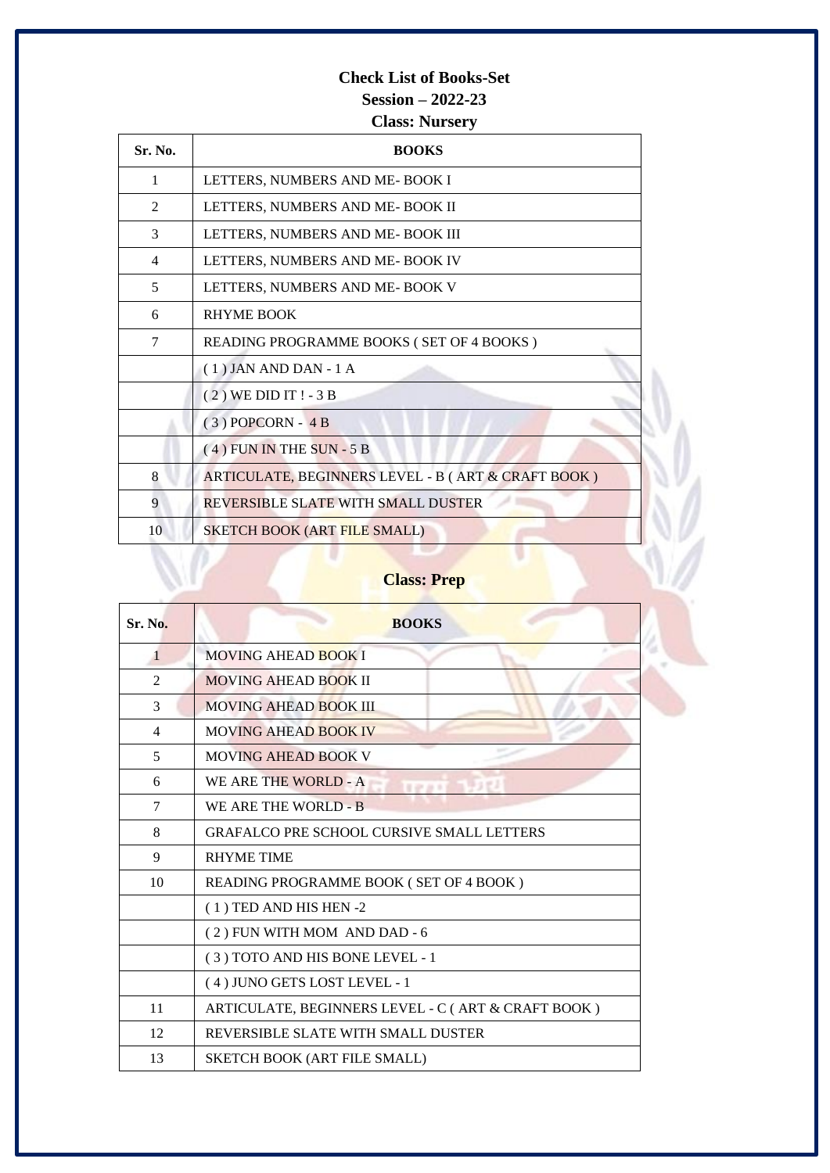## **Check List of Books-Set Session – 2022-23**

**Class: Nursery**

| Sr. No.        | <b>BOOKS</b>                                       |
|----------------|----------------------------------------------------|
| 1              | LETTERS, NUMBERS AND ME-BOOK I                     |
| 2              | LETTERS, NUMBERS AND ME-BOOK II                    |
| 3              | LETTERS, NUMBERS AND ME-BOOK III                   |
| $\overline{4}$ | LETTERS, NUMBERS AND ME- BOOK IV                   |
| 5              | LETTERS, NUMBERS AND ME-BOOK V                     |
| 6              | <b>RHYME BOOK</b>                                  |
| 7              | READING PROGRAMME BOOKS (SET OF 4 BOOKS)           |
|                | $(1)$ JAN AND DAN - 1 A                            |
|                | $(2)$ WE DID IT ! - 3 B                            |
|                | $(3)$ POPCORN - 4 B                                |
|                | $(4)$ FUN IN THE SUN - 5 B                         |
| 8              | ARTICULATE, BEGINNERS LEVEL - B (ART & CRAFT BOOK) |
| 9              | REVERSIBLE SLATE WITH SMALL DUSTER                 |
| 10             | SKETCH BOOK (ART FILE SMALL)                       |

## **Class: Prep**

| <b>Sr. No.</b> | <b>BOOKS</b>                                       |
|----------------|----------------------------------------------------|
| 1              | <b>MOVING AHEAD BOOK I</b>                         |
| 2              | MOVING AHEAD BOOK II                               |
| 3              | MOVING AHEAD BOOK III                              |
| 4              | <b>MOVING AHEAD BOOK IV</b>                        |
| 5              | <b>MOVING AHEAD BOOK V</b>                         |
| 6              | WE ARE THE WORLD - A<br><b>TEAM AND LOT</b>        |
| 7              | WE ARE THE WORLD - B                               |
| 8              | <b>GRAFALCO PRE SCHOOL CURSIVE SMALL LETTERS</b>   |
| 9              | <b>RHYME TIME</b>                                  |
| 10             | READING PROGRAMME BOOK (SET OF 4 BOOK)             |
|                | $(1)$ TED AND HIS HEN -2                           |
|                | (2) FUN WITH MOM AND DAD - 6                       |
|                | (3) TOTO AND HIS BONE LEVEL - 1                    |
|                | (4) JUNO GETS LOST LEVEL - 1                       |
| 11             | ARTICULATE, BEGINNERS LEVEL - C (ART & CRAFT BOOK) |
| 12             | REVERSIBLE SLATE WITH SMALL DUSTER                 |
| 13             | <b>SKETCH BOOK (ART FILE SMALL)</b>                |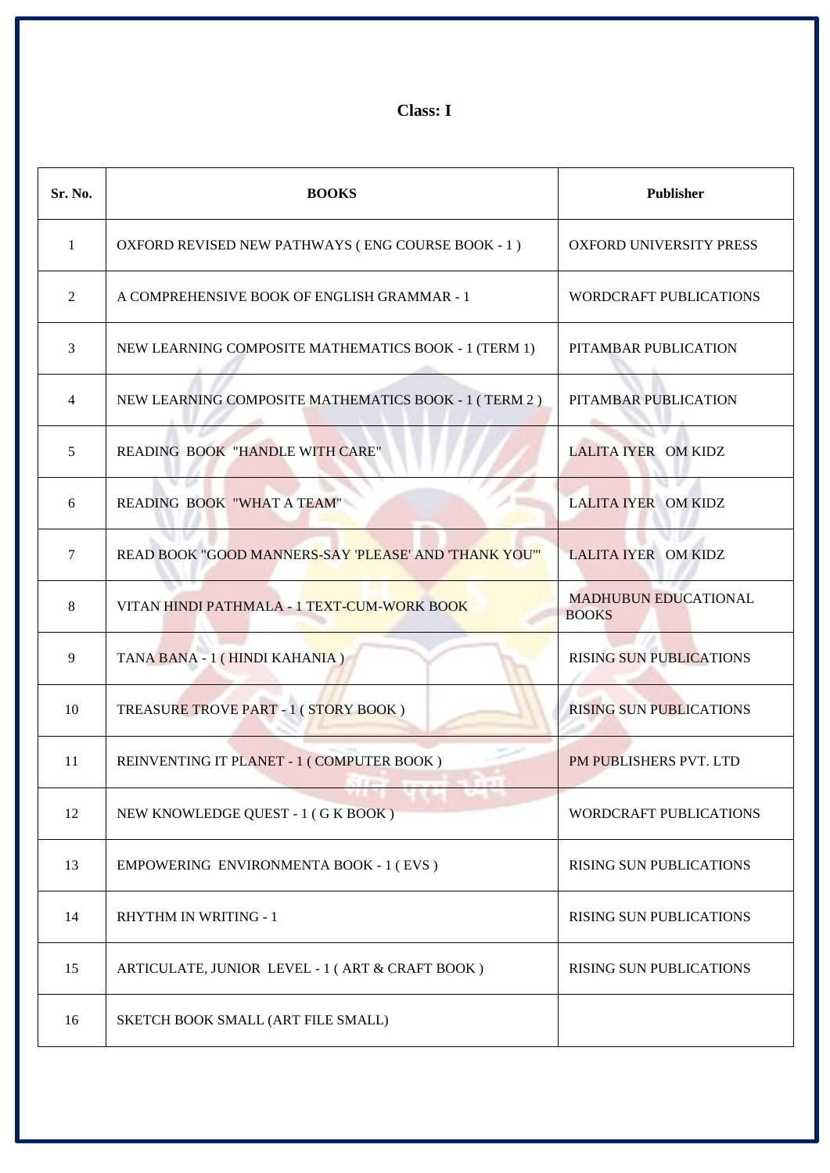**Class: I**

| Sr. No.        | <b>BOOKS</b>                                          | <b>Publisher</b>                            |
|----------------|-------------------------------------------------------|---------------------------------------------|
| 1              | OXFORD REVISED NEW PATHWAYS (ENG COURSE BOOK - 1)     | OXFORD UNIVERSITY PRESS                     |
| 2              | A COMPREHENSIVE BOOK OF ENGLISH GRAMMAR - 1           | <b>WORDCRAFT PUBLICATIONS</b>               |
| 3              | NEW LEARNING COMPOSITE MATHEMATICS BOOK - 1 (TERM 1)  | PITAMBAR PUBLICATION                        |
| $\overline{4}$ | NEW LEARNING COMPOSITE MATHEMATICS BOOK - 1 (TERM 2)  | PITAMBAR PUBLICATION                        |
| 5              | <b>READING BOOK "HANDLE WITH CARE"</b>                | <b>LALITA IYER OM KIDZ</b>                  |
| 6              | v o<br>READING BOOK "WHAT A TEAM"                     | <b>LALITA IYER OM KIDZ</b>                  |
| $\tau$         | READ BOOK "GOOD MANNERS-SAY 'PLEASE' AND 'THANK YOU'" | <b>LALITA IYER OM KIDZ</b>                  |
| 8              | VITAN HINDI PATHMALA - 1 TEXT-CUM-WORK BOOK           | <b>MADHUBUN EDUCATIONAL</b><br><b>BOOKS</b> |
| 9              | TANA BANA - 1 (HINDI KAHANIA)                         | <b>RISING SUN PUBLICATIONS</b>              |
| 10             | TREASURE TROVE PART - 1 (STORY BOOK)                  | <b>RISING SUN PUBLICATIONS</b>              |
| 11             | REINVENTING IT PLANET - 1 (COMPUTER BOOK)             | PM PUBLISHERS PVT. LTD                      |
| 12             | NEW KNOWLEDGE QUEST - 1 (GK BOOK)                     | WORDCRAFT PUBLICATIONS                      |
| 13             | EMPOWERING ENVIRONMENTA BOOK - 1 (EVS)                | RISING SUN PUBLICATIONS                     |
| 14             | <b>RHYTHM IN WRITING - 1</b>                          | <b>RISING SUN PUBLICATIONS</b>              |
| 15             | ARTICULATE, JUNIOR LEVEL - 1 (ART & CRAFT BOOK)       | RISING SUN PUBLICATIONS                     |
| 16             | SKETCH BOOK SMALL (ART FILE SMALL)                    |                                             |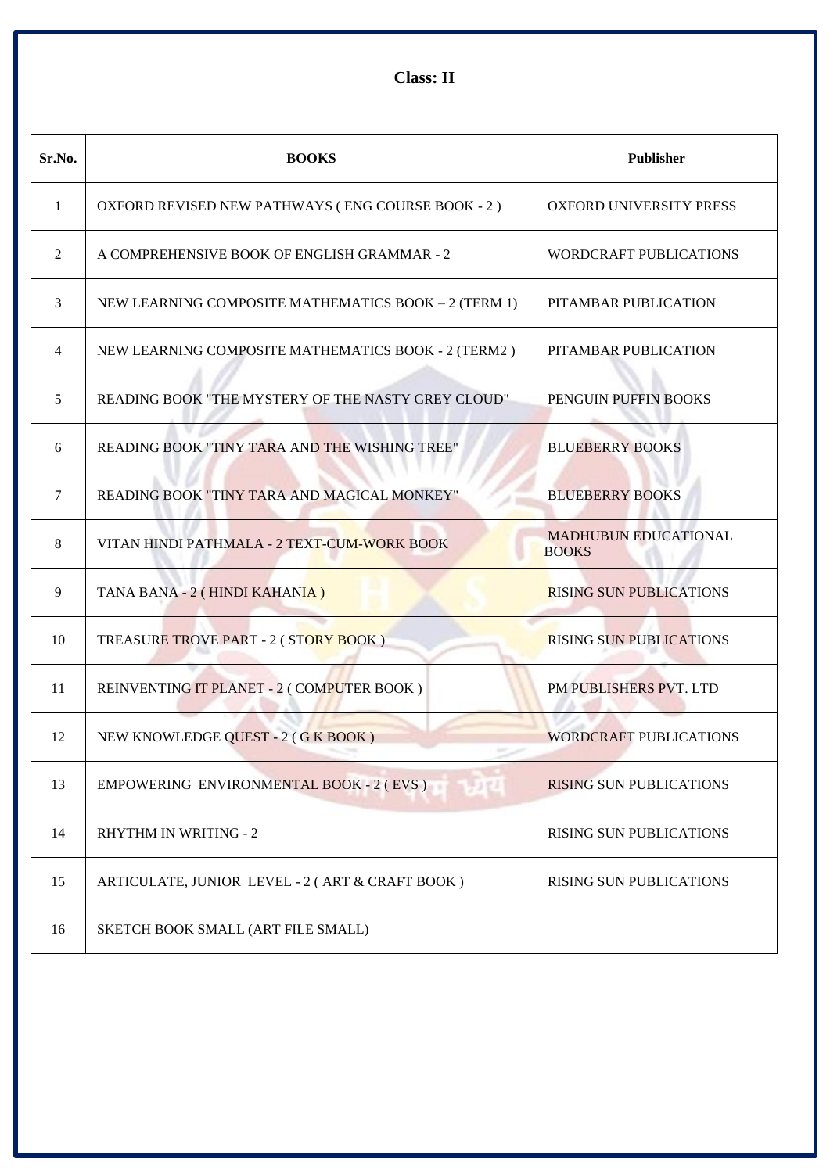**Class: II**

| Sr.No.       | <b>BOOKS</b>                                         | <b>Publisher</b>                            |
|--------------|------------------------------------------------------|---------------------------------------------|
| $\mathbf{1}$ | OXFORD REVISED NEW PATHWAYS (ENG COURSE BOOK - 2)    | <b>OXFORD UNIVERSITY PRESS</b>              |
| 2            | A COMPREHENSIVE BOOK OF ENGLISH GRAMMAR - 2          | <b>WORDCRAFT PUBLICATIONS</b>               |
| 3            | NEW LEARNING COMPOSITE MATHEMATICS BOOK - 2 (TERM 1) | PITAMBAR PUBLICATION                        |
| 4            | NEW LEARNING COMPOSITE MATHEMATICS BOOK - 2 (TERM2)  | PITAMBAR PUBLICATION                        |
| 5            | READING BOOK "THE MYSTERY OF THE NASTY GREY CLOUD"   | PENGUIN PUFFIN BOOKS                        |
| 6            | READING BOOK "TINY TARA AND THE WISHING TREE"        | <b>BLUEBERRY BOOKS</b>                      |
| 7            | READING BOOK "TINY TARA AND MAGICAL MONKEY"          | <b>BLUEBERRY BOOKS</b>                      |
| 8            | VITAN HINDI PATHMALA - 2 TEXT-CUM-WORK BOOK          | <b>MADHUBUN EDUCATIONAL</b><br><b>BOOKS</b> |
| 9            | TANA BANA - 2 (HINDI KAHANIA)                        | <b>RISING SUN PUBLICATIONS</b>              |
| 10           | TREASURE TROVE PART - 2 (STORY BOOK)                 | <b>RISING SUN PUBLICATIONS</b>              |
| 11           | REINVENTING IT PLANET - 2 (COMPUTER BOOK)            | PM PUBLISHERS PVT. LTD                      |
| 12           | NEW KNOWLEDGE QUEST - 2 (GK BOOK)                    | <b>WORDCRAFT PUBLICATIONS</b>               |
| 13           | EMPOWERING ENVIRONMENTAL BOOK - 2 (EVS)              | <b>RISING SUN PUBLICATIONS</b>              |
| 14           | <b>RHYTHM IN WRITING - 2</b>                         | RISING SUN PUBLICATIONS                     |
| 15           | ARTICULATE, JUNIOR LEVEL - 2 (ART & CRAFT BOOK)      | <b>RISING SUN PUBLICATIONS</b>              |
| 16           | SKETCH BOOK SMALL (ART FILE SMALL)                   |                                             |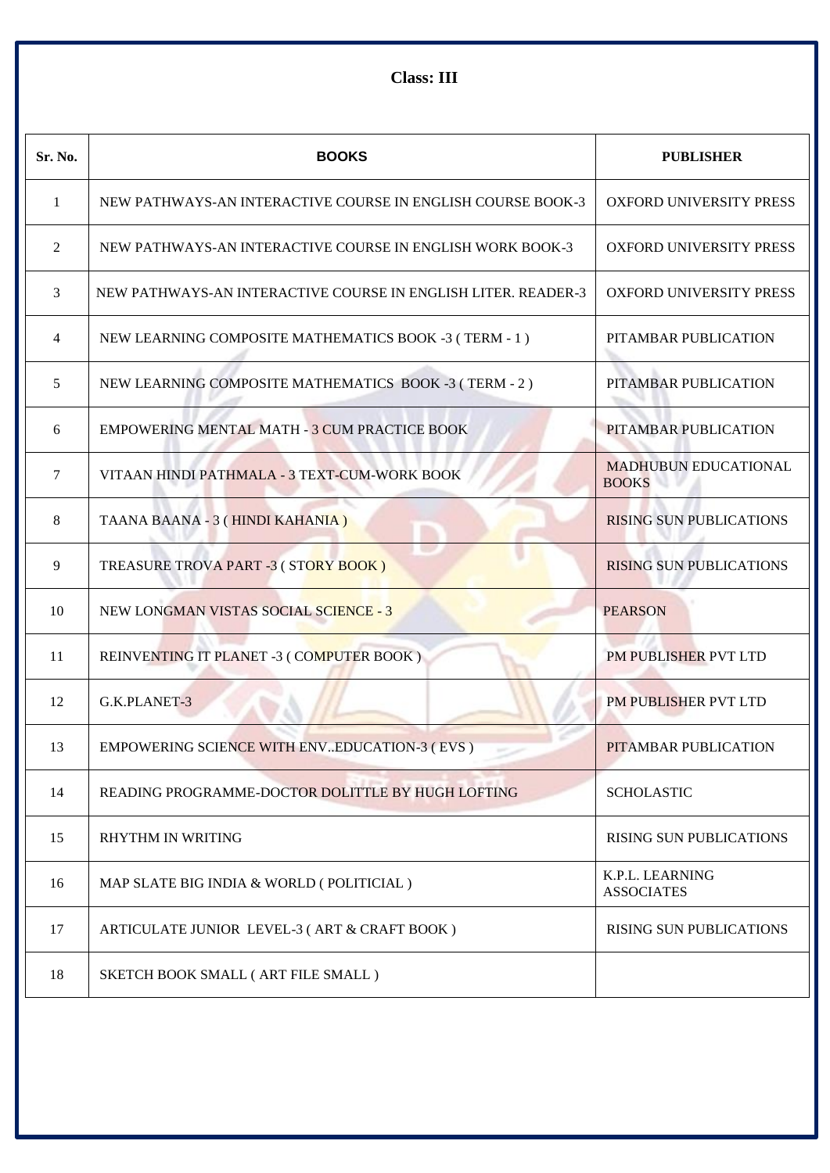**Class: III**

| Sr. No.        | <b>BOOKS</b>                                                  | <b>PUBLISHER</b>                            |
|----------------|---------------------------------------------------------------|---------------------------------------------|
| 1              | NEW PATHWAYS-AN INTERACTIVE COURSE IN ENGLISH COURSE BOOK-3   | <b>OXFORD UNIVERSITY PRESS</b>              |
| 2              | NEW PATHWAYS-AN INTERACTIVE COURSE IN ENGLISH WORK BOOK-3     | OXFORD UNIVERSITY PRESS                     |
| 3              | NEW PATHWAYS-AN INTERACTIVE COURSE IN ENGLISH LITER. READER-3 | OXFORD UNIVERSITY PRESS                     |
| $\overline{4}$ | NEW LEARNING COMPOSITE MATHEMATICS BOOK -3 (TERM - 1)         | PITAMBAR PUBLICATION                        |
| 5              | NEW LEARNING COMPOSITE MATHEMATICS BOOK -3 (TERM - 2)         | PITAMBAR PUBLICATION                        |
| 6              | <b>EMPOWERING MENTAL MATH - 3 CUM PRACTICE BOOK</b>           | PITAMBAR PUBLICATION                        |
| 7              | VITAAN HINDI PATHMALA - 3 TEXT-CUM-WORK BOOK                  | <b>MADHUBUN EDUCATIONAL</b><br><b>BOOKS</b> |
| 8              | TAANA BAANA - 3 (HINDI KAHANIA)                               | <b>RISING SUN PUBLICATIONS</b>              |
| 9              | TREASURE TROVA PART -3 (STORY BOOK)                           | <b>RISING SUN PUBLICATIONS</b>              |
| 10             | NEW LONGMAN VISTAS SOCIAL SCIENCE - 3                         | <b>PEARSON</b>                              |
| 11             | REINVENTING IT PLANET -3 (COMPUTER BOOK)                      | PM PUBLISHER PVT LTD                        |
| 12             | G.K.PLANET-3                                                  | PM PUBLISHER PVT LTD                        |
| 13             | EMPOWERING SCIENCE WITH ENVEDUCATION-3 (EVS)                  | PITAMBAR PUBLICATION                        |
| 14             | READING PROGRAMME-DOCTOR DOLITTLE BY HUGH LOFTING             | <b>SCHOLASTIC</b>                           |
| 15             | <b>RHYTHM IN WRITING</b>                                      | <b>RISING SUN PUBLICATIONS</b>              |
| 16             | MAP SLATE BIG INDIA & WORLD (POLITICIAL)                      | K.P.L. LEARNING<br><b>ASSOCIATES</b>        |
| 17             | ARTICULATE JUNIOR LEVEL-3 (ART & CRAFT BOOK)                  | <b>RISING SUN PUBLICATIONS</b>              |
| 18             | SKETCH BOOK SMALL (ART FILE SMALL)                            |                                             |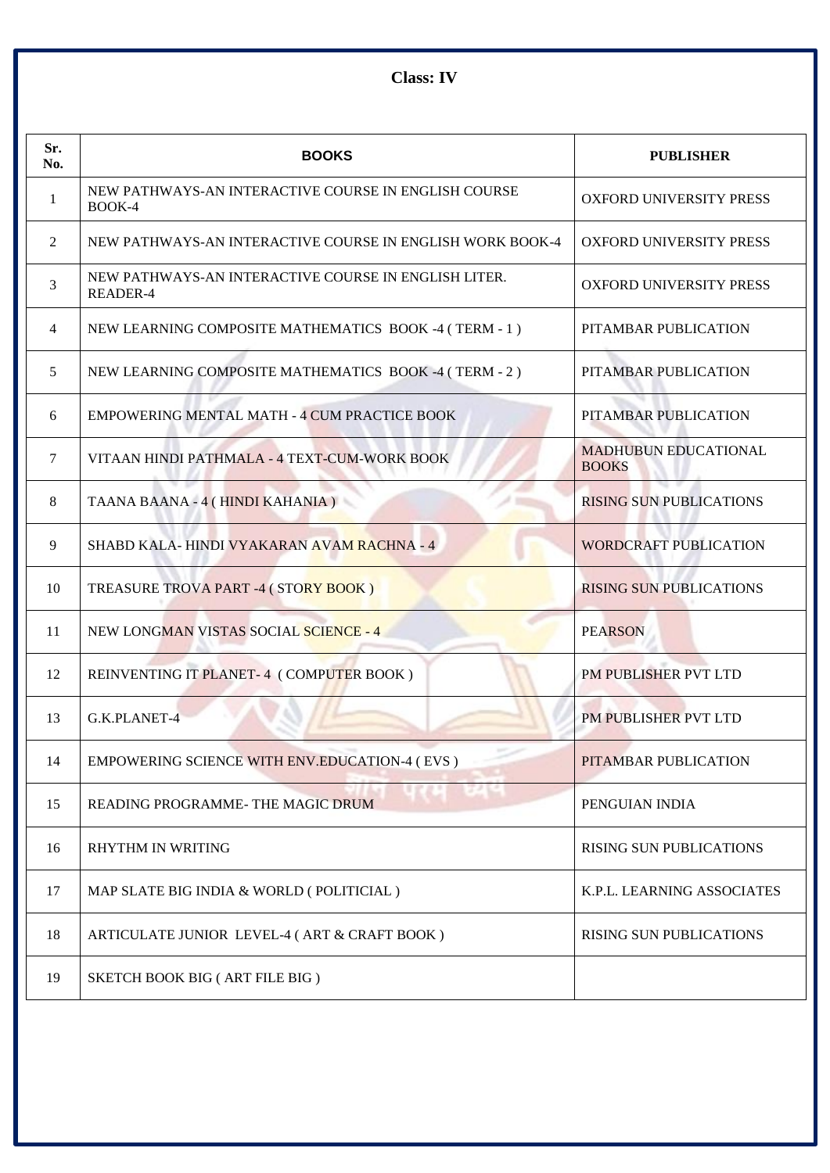**Class: IV**

| Sr.<br>No. | <b>BOOKS</b>                                                     | <b>PUBLISHER</b>                            |
|------------|------------------------------------------------------------------|---------------------------------------------|
| 1          | NEW PATHWAYS-AN INTERACTIVE COURSE IN ENGLISH COURSE<br>BOOK-4   | <b>OXFORD UNIVERSITY PRESS</b>              |
| 2          | NEW PATHWAYS-AN INTERACTIVE COURSE IN ENGLISH WORK BOOK-4        | OXFORD UNIVERSITY PRESS                     |
| 3          | NEW PATHWAYS-AN INTERACTIVE COURSE IN ENGLISH LITER.<br>READER-4 | <b>OXFORD UNIVERSITY PRESS</b>              |
| 4          | NEW LEARNING COMPOSITE MATHEMATICS BOOK -4 (TERM - 1)            | PITAMBAR PUBLICATION                        |
| 5          | NEW LEARNING COMPOSITE MATHEMATICS BOOK -4 (TERM - 2)            | PITAMBAR PUBLICATION                        |
| 6          | <b>EMPOWERING MENTAL MATH - 4 CUM PRACTICE BOOK</b>              | PITAMBAR PUBLICATION                        |
| 7          | VITAAN HINDI PATHMALA - 4 TEXT-CUM-WORK BOOK                     | <b>MADHUBUN EDUCATIONAL</b><br><b>BOOKS</b> |
| 8          | TAANA BAANA - 4 ( HINDI KAHANIA )                                | <b>RISING SUN PUBLICATIONS</b>              |
| 9          | SHABD KALA-HINDI VYAKARAN AVAM RACHNA - 4                        | <b>WORDCRAFT PUBLICATION</b>                |
| 10         | TREASURE TROVA PART -4 (STORY BOOK)                              | <b>RISING SUN PUBLICATIONS</b>              |
| 11         | NEW LONGMAN VISTAS SOCIAL SCIENCE - 4                            | <b>PEARSON</b>                              |
| 12         | REINVENTING IT PLANET-4 (COMPUTER BOOK)                          | PM PUBLISHER PVT LTD                        |
| 13         | G.K.PLANET-4                                                     | PM PUBLISHER PVT LTD                        |
| 14         | EMPOWERING SCIENCE WITH ENV.EDUCATION-4 (EVS)                    | PITAMBAR PUBLICATION                        |
| 15         | READING PROGRAMME- THE MAGIC DRUM                                | PENGUIAN INDIA                              |
| 16         | RHYTHM IN WRITING                                                | RISING SUN PUBLICATIONS                     |
| 17         | MAP SLATE BIG INDIA & WORLD (POLITICIAL)                         | K.P.L. LEARNING ASSOCIATES                  |
| 18         | ARTICULATE JUNIOR LEVEL-4 (ART & CRAFT BOOK)                     | RISING SUN PUBLICATIONS                     |
| 19         | SKETCH BOOK BIG (ART FILE BIG)                                   |                                             |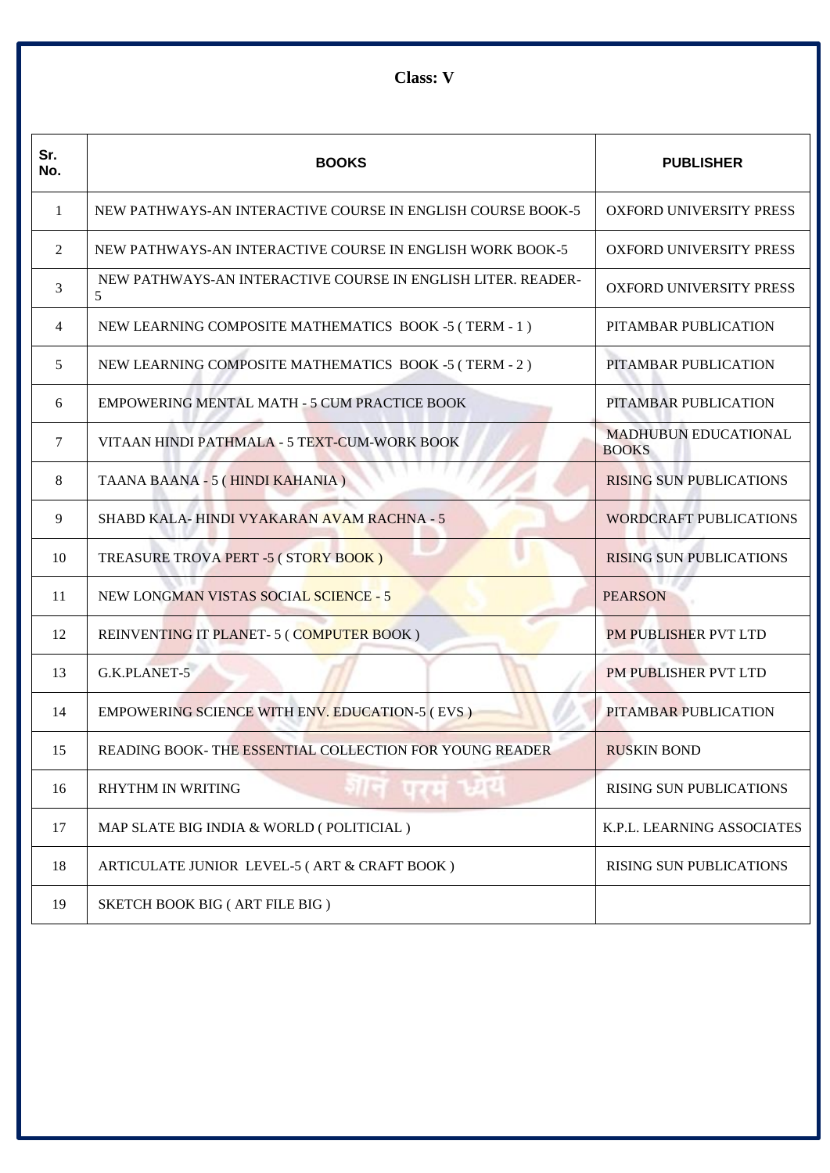**Class: V**

| Sr.<br>No. | <b>BOOKS</b>                                                      | <b>PUBLISHER</b>                            |
|------------|-------------------------------------------------------------------|---------------------------------------------|
| -1         | NEW PATHWAYS-AN INTERACTIVE COURSE IN ENGLISH COURSE BOOK-5       | <b>OXFORD UNIVERSITY PRESS</b>              |
| 2          | NEW PATHWAYS-AN INTERACTIVE COURSE IN ENGLISH WORK BOOK-5         | <b>OXFORD UNIVERSITY PRESS</b>              |
| 3          | NEW PATHWAYS-AN INTERACTIVE COURSE IN ENGLISH LITER. READER-<br>5 | OXFORD UNIVERSITY PRESS                     |
| 4          | NEW LEARNING COMPOSITE MATHEMATICS BOOK -5 (TERM - 1)             | PITAMBAR PUBLICATION                        |
| 5          | NEW LEARNING COMPOSITE MATHEMATICS BOOK -5 (TERM - 2)             | PITAMBAR PUBLICATION                        |
| 6          | EMPOWERING MENTAL MATH - 5 CUM PRACTICE BOOK                      | PITAMBAR PUBLICATION                        |
| 7          | VITAAN HINDI PATHMALA - 5 TEXT-CUM-WORK BOOK                      | <b>MADHUBUN EDUCATIONAL</b><br><b>BOOKS</b> |
| 8          | TAANA BAANA - 5 (HINDI KAHANIA )                                  | <b>RISING SUN PUBLICATIONS</b>              |
| 9          | SHABD KALA-HINDI VYAKARAN AVAM RACHNA - 5                         | <b>WORDCRAFT PUBLICATIONS</b>               |
| 10         | TREASURE TROVA PERT -5 (STORY BOOK)                               | <b>RISING SUN PUBLICATIONS</b>              |
| 11         | <b>NEW LONGMAN VISTAS SOCIAL SCIENCE - 5</b>                      | <b>PEARSON</b>                              |
| 12         | REINVENTING IT PLANET-5 (COMPUTER BOOK)                           | <b>PM PUBLISHER PVT LTD</b>                 |
| 13         | G.K.PLANET-5                                                      | PM PUBLISHER PVT LTD                        |
| 14         | <b>EMPOWERING SCIENCE WITH ENV. EDUCATION-5 (EVS)</b>             | PITAMBAR PUBLICATION                        |
| 15         | READING BOOK- THE ESSENTIAL COLLECTION FOR YOUNG READER           | <b>RUSKIN BOND</b>                          |
| 16         | गान परम ध्यय<br><b>RHYTHM IN WRITING</b>                          | <b>RISING SUN PUBLICATIONS</b>              |
| 17         | MAP SLATE BIG INDIA & WORLD (POLITICIAL)                          | K.P.L. LEARNING ASSOCIATES                  |
| 18         | ARTICULATE JUNIOR LEVEL-5 (ART & CRAFT BOOK)                      | <b>RISING SUN PUBLICATIONS</b>              |
| 19         | SKETCH BOOK BIG (ART FILE BIG)                                    |                                             |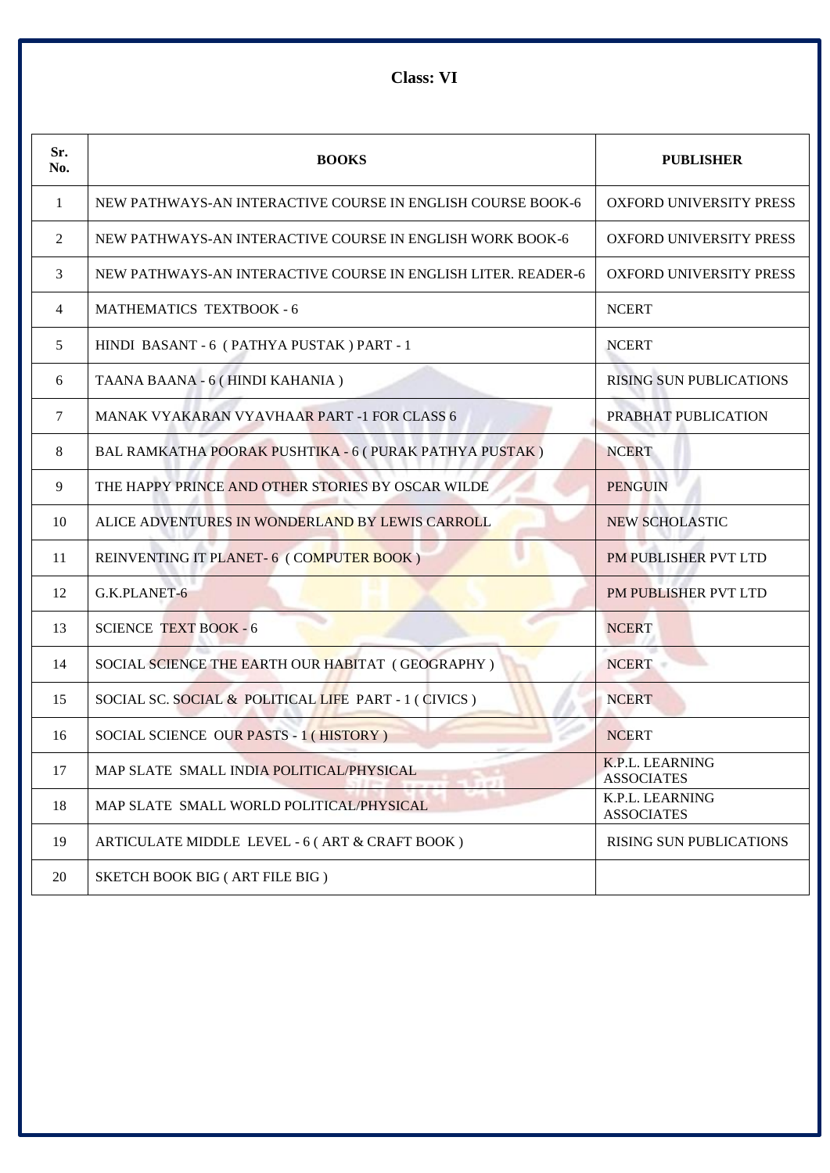**Class: VI**

| Sr.<br>No. | <b>BOOKS</b>                                                  | <b>PUBLISHER</b>                            |
|------------|---------------------------------------------------------------|---------------------------------------------|
| 1          | NEW PATHWAYS-AN INTERACTIVE COURSE IN ENGLISH COURSE BOOK-6   | <b>OXFORD UNIVERSITY PRESS</b>              |
| 2          | NEW PATHWAYS-AN INTERACTIVE COURSE IN ENGLISH WORK BOOK-6     | <b>OXFORD UNIVERSITY PRESS</b>              |
| 3          | NEW PATHWAYS-AN INTERACTIVE COURSE IN ENGLISH LITER. READER-6 | OXFORD UNIVERSITY PRESS                     |
| 4          | <b>MATHEMATICS TEXTBOOK - 6</b>                               | <b>NCERT</b>                                |
| 5          | HINDI BASANT - 6 (PATHYA PUSTAK) PART - 1                     | <b>NCERT</b>                                |
| 6          | TAANA BAANA - 6 (HINDI KAHANIA)                               | <b>RISING SUN PUBLICATIONS</b>              |
| 7          | <b>MANAK VYAKARAN VYAVHAAR PART -1 FOR CLASS 6</b>            | PRABHAT PUBLICATION                         |
| 8          | BAL RAMKATHA POORAK PUSHTIKA - 6 ( PURAK PATHYA PUSTAK )      | <b>NCERT</b>                                |
| 9          | THE HAPPY PRINCE AND OTHER STORIES BY OSCAR WILDE             | <b>PENGUIN</b>                              |
| 10         | ALICE ADVENTURES IN WONDERLAND BY LEWIS CARROLL               | <b>NEW SCHOLASTIC</b>                       |
| 11         | REINVENTING IT PLANET-6 (COMPUTER BOOK)                       | <b>PM PUBLISHER PVT LTD</b>                 |
| 12         | G.K.PLANET-6                                                  | PM PUBLISHER PVT LTD                        |
| 13         | <b>SCIENCE TEXT BOOK - 6</b>                                  | <b>NCERT</b>                                |
| 14         | SOCIAL SCIENCE THE EARTH OUR HABITAT (GEOGRAPHY)              | <b>NCERT</b>                                |
| 15         | SOCIAL SC. SOCIAL & POLITICAL LIFE PART - 1 (CIVICS)          | <b>NCERT</b>                                |
| 16         | SOCIAL SCIENCE OUR PASTS - 1 (HISTORY)                        | <b>NCERT</b>                                |
| 17         | MAP SLATE SMALL INDIA POLITICAL/PHYSICAL                      | <b>K.P.L. LEARNING</b><br><b>ASSOCIATES</b> |
| 18         | MAP SLATE SMALL WORLD POLITICAL/PHYSICAL                      | K.P.L. LEARNING<br><b>ASSOCIATES</b>        |
| 19         | ARTICULATE MIDDLE LEVEL - 6 (ART & CRAFT BOOK)                | <b>RISING SUN PUBLICATIONS</b>              |
| 20         | SKETCH BOOK BIG (ART FILE BIG)                                |                                             |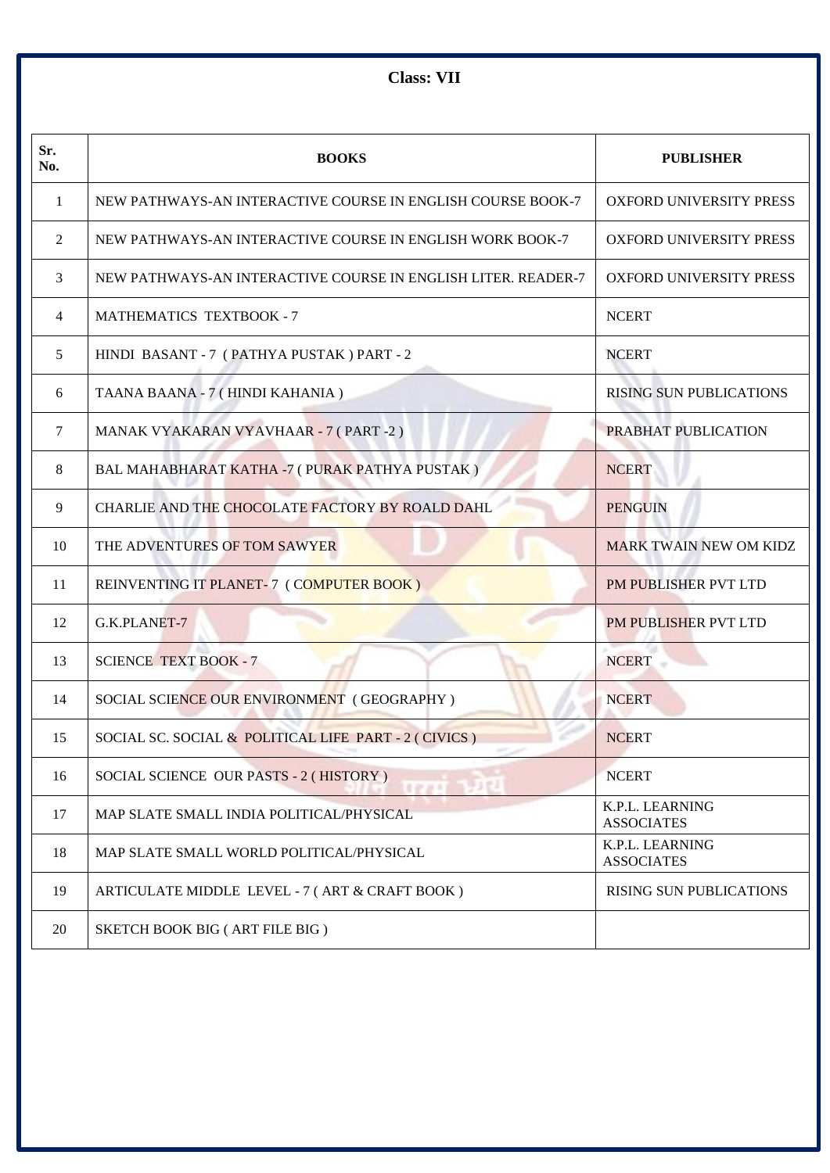**Class: VII**

| Sr.<br>No. | <b>BOOKS</b>                                                  | <b>PUBLISHER</b>                     |
|------------|---------------------------------------------------------------|--------------------------------------|
| 1          | NEW PATHWAYS-AN INTERACTIVE COURSE IN ENGLISH COURSE BOOK-7   | OXFORD UNIVERSITY PRESS              |
| 2          | NEW PATHWAYS-AN INTERACTIVE COURSE IN ENGLISH WORK BOOK-7     | OXFORD UNIVERSITY PRESS              |
| 3          | NEW PATHWAYS-AN INTERACTIVE COURSE IN ENGLISH LITER, READER-7 | <b>OXFORD UNIVERSITY PRESS</b>       |
| 4          | <b>MATHEMATICS TEXTBOOK - 7</b>                               | <b>NCERT</b>                         |
| 5          | HINDI BASANT - 7 (PATHYA PUSTAK) PART - 2                     | <b>NCERT</b>                         |
| 6          | TAANA BAANA - 7 (HINDI KAHANIA)                               | <b>RISING SUN PUBLICATIONS</b>       |
| 7          | MANAK VYAKARAN VYAVHAAR - 7 (PART - 2)                        | PRABHAT PUBLICATION                  |
| 8          | BAL MAHABHARAT KATHA -7 ( PURAK PATHYA PUSTAK )               | <b>NCERT</b>                         |
| 9          | CHARLIE AND THE CHOCOLATE FACTORY BY ROALD DAHL               | <b>PENGUIN</b>                       |
| 10         | THE ADVENTURES OF TOM SAWYER                                  | <b>MARK TWAIN NEW OM KIDZ</b>        |
| 11         | REINVENTING IT PLANET-7 (COMPUTER BOOK)                       | PM PUBLISHER PVT LTD                 |
| 12         | G.K.PLANET-7                                                  | PM PUBLISHER PVT LTD                 |
| 13         | <b>SCIENCE TEXT BOOK - 7</b>                                  | <b>NCERT</b>                         |
| 14         | SOCIAL SCIENCE OUR ENVIRONMENT (GEOGRAPHY)                    | <b>NCERT</b>                         |
| 15         | SOCIAL SC. SOCIAL & POLITICAL LIFE PART - 2 (CIVICS)          | <b>NCERT</b>                         |
| 16         | SOCIAL SCIENCE OUR PASTS - 2 (HISTORY)<br>uang 1912           | <b>NCERT</b>                         |
| 17         | MAP SLATE SMALL INDIA POLITICAL/PHYSICAL                      | K.P.L. LEARNING<br><b>ASSOCIATES</b> |
| 18         | MAP SLATE SMALL WORLD POLITICAL/PHYSICAL                      | K.P.L. LEARNING<br><b>ASSOCIATES</b> |
| 19         | ARTICULATE MIDDLE LEVEL - 7 (ART & CRAFT BOOK)                | <b>RISING SUN PUBLICATIONS</b>       |
| 20         | SKETCH BOOK BIG (ART FILE BIG)                                |                                      |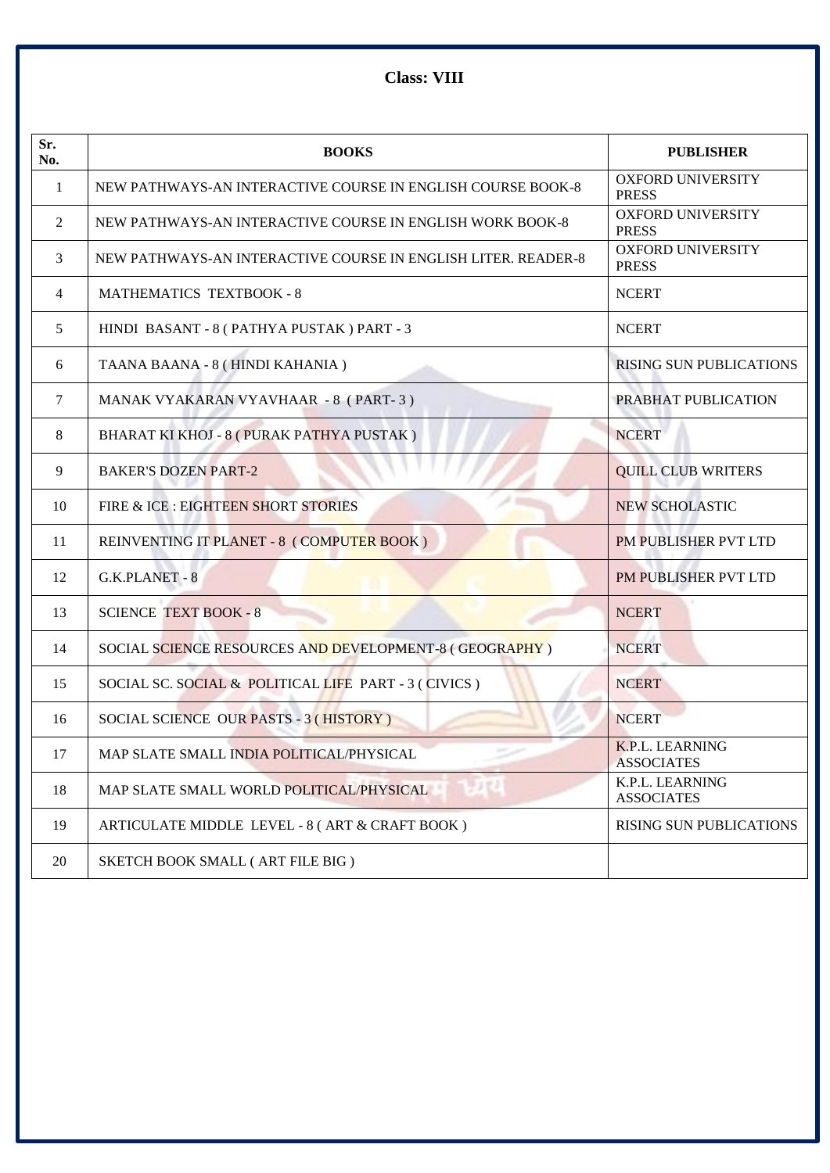**Class: VIII**

| Sr.<br>No. | <b>BOOKS</b>                                                  | <b>PUBLISHER</b>                         |
|------------|---------------------------------------------------------------|------------------------------------------|
| -1         | NEW PATHWAYS-AN INTERACTIVE COURSE IN ENGLISH COURSE BOOK-8   | <b>OXFORD UNIVERSITY</b><br><b>PRESS</b> |
| 2          | NEW PATHWAYS-AN INTERACTIVE COURSE IN ENGLISH WORK BOOK-8     | <b>OXFORD UNIVERSITY</b><br><b>PRESS</b> |
| 3          | NEW PATHWAYS-AN INTERACTIVE COURSE IN ENGLISH LITER. READER-8 | <b>OXFORD UNIVERSITY</b><br><b>PRESS</b> |
| 4          | <b>MATHEMATICS TEXTBOOK - 8</b>                               | <b>NCERT</b>                             |
| 5          | HINDI BASANT - 8 (PATHYA PUSTAK) PART - 3                     | <b>NCERT</b>                             |
| 6          | TAANA BAANA - 8 (HINDI KAHANIA)                               | <b>RISING SUN PUBLICATIONS</b>           |
| 7          | MANAK VYAKARAN VYAVHAAR - 8 (PART-3)                          | PRABHAT PUBLICATION                      |
| 8          | BHARAT KI KHOJ - 8 (PURAK PATHYA PUSTAK)                      | <b>NCERT</b>                             |
| 9          | <b>BAKER'S DOZEN PART-2</b>                                   | <b>QUILL CLUB WRITERS</b>                |
| 10         | FIRE & ICE : EIGHTEEN SHORT STORIES                           | <b>NEW SCHOLASTIC</b>                    |
| 11         | REINVENTING IT PLANET - 8 (COMPUTER BOOK)                     | PM PUBLISHER PVT LTD                     |
| 12         | G.K.PLANET - 8                                                | PM PUBLISHER PVT LTD                     |
| 13         | <b>SCIENCE TEXT BOOK - 8</b>                                  | <b>NCERT</b>                             |
| 14         | SOCIAL SCIENCE RESOURCES AND DEVELOPMENT-8 (GEOGRAPHY)        | <b>NCERT</b>                             |
| 15         | SOCIAL SC. SOCIAL & POLITICAL LIFE PART - 3 (CIVICS)          | <b>NCERT</b>                             |
| 16         | SOCIAL SCIENCE OUR PASTS - 3 (HISTORY)                        | <b>NCERT</b>                             |
| 17         | MAP SLATE SMALL INDIA POLITICAL/PHYSICAL                      | K.P.L. LEARNING<br><b>ASSOCIATES</b>     |
| 18         | MAP SLATE SMALL WORLD POLITICAL/PHYSICAL                      | K.P.L. LEARNING<br><b>ASSOCIATES</b>     |
| 19         | ARTICULATE MIDDLE LEVEL - 8 (ART & CRAFT BOOK)                | <b>RISING SUN PUBLICATIONS</b>           |
| 20         | SKETCH BOOK SMALL (ART FILE BIG)                              |                                          |